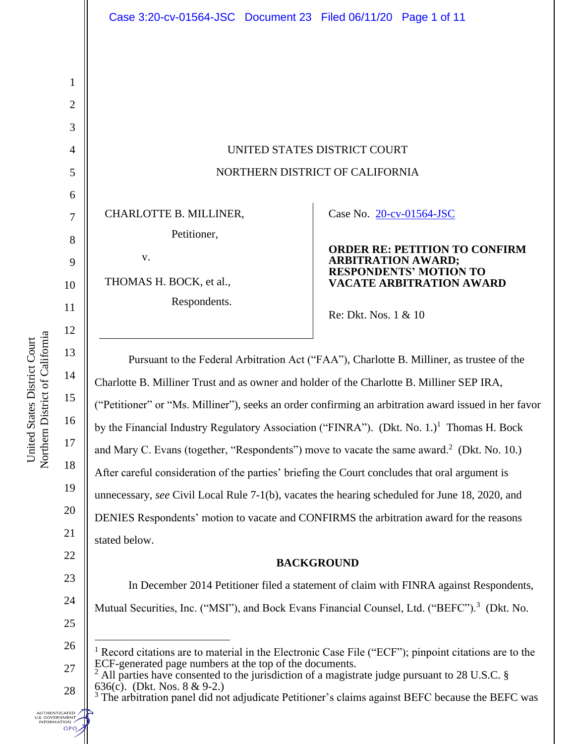UNITED STATES DISTRICT COURT NORTHERN DISTRICT OF CALIFORNIA

CHARLOTTE B. MILLINER,

Petitioner,

v.

THOMAS H. BOCK, et al.,

Respondents.

# Case No. [20-cv-01564-JSC](https://ecf.cand.uscourts.gov/cgi-bin/DktRpt.pl?356208)

**ORDER RE: PETITION TO CONFIRM ARBITRATION AWARD; RESPONDENTS' MOTION TO VACATE ARBITRATION AWARD**

Re: Dkt. Nos. 1 & 10

Pursuant to the Federal Arbitration Act ("FAA"), Charlotte B. Milliner, as trustee of the Charlotte B. Milliner Trust and as owner and holder of the Charlotte B. Milliner SEP IRA, ("Petitioner" or "Ms. Milliner"), seeks an order confirming an arbitration award issued in her favor by the Financial Industry Regulatory Association ("FINRA"). (Dkt. No. 1.)<sup>1</sup> Thomas H. Bock and Mary C. Evans (together, "Respondents") move to vacate the same award.<sup>2</sup> (Dkt. No. 10.) After careful consideration of the parties' briefing the Court concludes that oral argument is unnecessary, *see* Civil Local Rule 7-1(b), vacates the hearing scheduled for June 18, 2020, and DENIES Respondents' motion to vacate and CONFIRMS the arbitration award for the reasons stated below.

# **BACKGROUND**

In December 2014 Petitioner filed a statement of claim with FINRA against Respondents, Mutual Securities, Inc. ("MSI"), and Bock Evans Financial Counsel, Ltd. ("BEFC").<sup>3</sup> (Dkt. No.

<sup>3</sup> The arbitration panel did not adjudicate Petitioner's claims against BEFC because the BEFC was

1

2

3

4

5

6

7

8

9

10

11

12

13

14

15

16

17

18

19

20

21

22

23

24

28

**UTHENTICATED** .S. GOVERNMENT<br>INFORMATION **GPO** 

<sup>25</sup>

<sup>26</sup> 27 Record citations are to material in the Electronic Case File ("ECF"); pinpoint citations are to the ECF-generated page numbers at the top of the documents.

<sup>2</sup> All parties have consented to the jurisdiction of a magistrate judge pursuant to 28 U.S.C. § 636(c). (Dkt. Nos. 8 & 9-2.)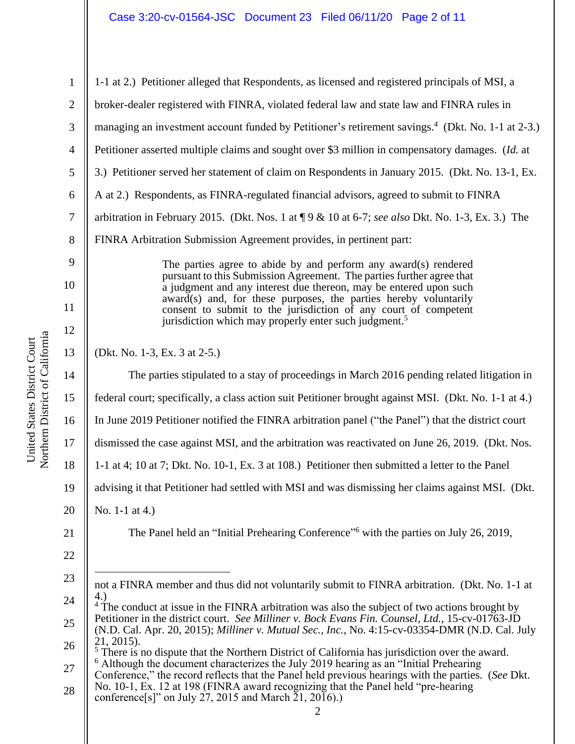United States District Court<br>Northern District of California Northern District of California United States District Court

| $\mathbf{1}$   | 1-1 at 2.) Petitioner alleged that Respondents, as licensed and registered principals of MSI, a                                                                                                                                                                                                                                                                                                                                                                                                                         |
|----------------|-------------------------------------------------------------------------------------------------------------------------------------------------------------------------------------------------------------------------------------------------------------------------------------------------------------------------------------------------------------------------------------------------------------------------------------------------------------------------------------------------------------------------|
| $\overline{2}$ | broker-dealer registered with FINRA, violated federal law and state law and FINRA rules in                                                                                                                                                                                                                                                                                                                                                                                                                              |
| 3              | managing an investment account funded by Petitioner's retirement savings. <sup>4</sup> (Dkt. No. 1-1 at 2-3.)                                                                                                                                                                                                                                                                                                                                                                                                           |
| $\overline{4}$ | Petitioner asserted multiple claims and sought over \$3 million in compensatory damages. (Id. at                                                                                                                                                                                                                                                                                                                                                                                                                        |
| 5              | 3.) Petitioner served her statement of claim on Respondents in January 2015. (Dkt. No. 13-1, Ex.                                                                                                                                                                                                                                                                                                                                                                                                                        |
| 6              | A at 2.) Respondents, as FINRA-regulated financial advisors, agreed to submit to FINRA                                                                                                                                                                                                                                                                                                                                                                                                                                  |
| $\tau$         | arbitration in February 2015. (Dkt. Nos. 1 at $\P$ 9 & 10 at 6-7; see also Dkt. No. 1-3, Ex. 3.) The                                                                                                                                                                                                                                                                                                                                                                                                                    |
| 8              | FINRA Arbitration Submission Agreement provides, in pertinent part:                                                                                                                                                                                                                                                                                                                                                                                                                                                     |
| 9              | The parties agree to abide by and perform any award(s) rendered<br>pursuant to this Submission Agreement. The parties further agree that<br>a judgment and any interest due thereon, may be entered upon such<br>award(s) and, for these purposes, the parties hereby voluntarily<br>consent to submit to the jurisdiction of any court of competent<br>jurisdiction which may properly enter such judgment. <sup>5</sup>                                                                                               |
| 10             |                                                                                                                                                                                                                                                                                                                                                                                                                                                                                                                         |
| 11             |                                                                                                                                                                                                                                                                                                                                                                                                                                                                                                                         |
| 12             |                                                                                                                                                                                                                                                                                                                                                                                                                                                                                                                         |
| 13             | (Dkt. No. 1-3, Ex. 3 at 2-5.)                                                                                                                                                                                                                                                                                                                                                                                                                                                                                           |
| 14             | The parties stipulated to a stay of proceedings in March 2016 pending related litigation in                                                                                                                                                                                                                                                                                                                                                                                                                             |
| 15             | federal court; specifically, a class action suit Petitioner brought against MSI. (Dkt. No. 1-1 at 4.)                                                                                                                                                                                                                                                                                                                                                                                                                   |
| 16             | In June 2019 Petitioner notified the FINRA arbitration panel ("the Panel") that the district court                                                                                                                                                                                                                                                                                                                                                                                                                      |
| 17             | dismissed the case against MSI, and the arbitration was reactivated on June 26, 2019. (Dkt. Nos.                                                                                                                                                                                                                                                                                                                                                                                                                        |
| 18             | 1-1 at 4; 10 at 7; Dkt. No. 10-1, Ex. 3 at 108.) Petitioner then submitted a letter to the Panel                                                                                                                                                                                                                                                                                                                                                                                                                        |
| 19             | advising it that Petitioner had settled with MSI and was dismissing her claims against MSI. (Dkt.                                                                                                                                                                                                                                                                                                                                                                                                                       |
| 20             | No. 1-1 at 4.)                                                                                                                                                                                                                                                                                                                                                                                                                                                                                                          |
| 21             | The Panel held an "Initial Prehearing Conference" <sup>6</sup> with the parties on July 26, 2019,                                                                                                                                                                                                                                                                                                                                                                                                                       |
| 22             |                                                                                                                                                                                                                                                                                                                                                                                                                                                                                                                         |
| 23             | not a FINRA member and thus did not voluntarily submit to FINRA arbitration. (Dkt. No. 1-1 at                                                                                                                                                                                                                                                                                                                                                                                                                           |
| 24             | 4.)<br><sup>4</sup> The conduct at issue in the FINRA arbitration was also the subject of two actions brought by                                                                                                                                                                                                                                                                                                                                                                                                        |
| 25             | Petitioner in the district court. See Milliner v. Bock Evans Fin. Counsel, Ltd., 15-cv-01763-JD<br>(N.D. Cal. Apr. 20, 2015); Milliner v. Mutual Sec., Inc., No. 4:15-cv-03354-DMR (N.D. Cal. July<br>21, 2015).<br>$5$ There is no dispute that the Northern District of California has jurisdiction over the award.<br>$6$ Although the document characterizes the July 2019 hearing as an "Initial Prehearing"<br>Conference," the record reflects that the Panel held previous hearings with the parties. (See Dkt. |
| 26             |                                                                                                                                                                                                                                                                                                                                                                                                                                                                                                                         |
| 27             |                                                                                                                                                                                                                                                                                                                                                                                                                                                                                                                         |
| 28             | No. 10-1, Ex. 12 at 198 (FINRA award recognizing that the Panel held "pre-hearing"<br>conference[s]" on July 27, 2015 and March 21, 2016).)                                                                                                                                                                                                                                                                                                                                                                             |
|                | 2                                                                                                                                                                                                                                                                                                                                                                                                                                                                                                                       |
|                |                                                                                                                                                                                                                                                                                                                                                                                                                                                                                                                         |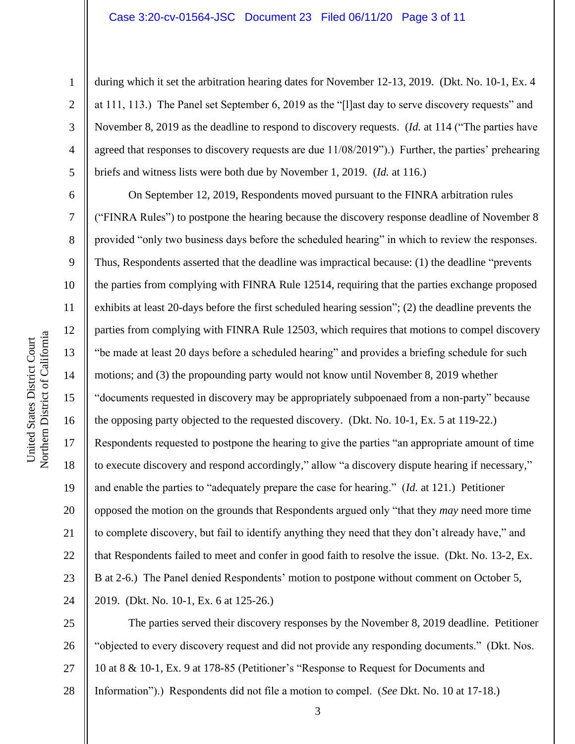### Case 3:20-cv-01564-JSC Document 23 Filed 06/11/20 Page 3 of 11

during which it set the arbitration hearing dates for November 12-13, 2019. (Dkt. No. 10-1, Ex. 4

at 111, 113.) The Panel set September 6, 2019 as the "[l]ast day to serve discovery requests" and

November 8, 2019 as the deadline to respond to discovery requests. (*Id.* at 114 ("The parties have

1

2

3

4 5 6 7 8 9 10 11 12 13 14 15 16 17 18 19 20 21 22 23 24 agreed that responses to discovery requests are due 11/08/2019").) Further, the parties' prehearing briefs and witness lists were both due by November 1, 2019. (*Id.* at 116.) On September 12, 2019, Respondents moved pursuant to the FINRA arbitration rules ("FINRA Rules") to postpone the hearing because the discovery response deadline of November 8 provided "only two business days before the scheduled hearing" in which to review the responses. Thus, Respondents asserted that the deadline was impractical because: (1) the deadline "prevents the parties from complying with FINRA Rule 12514, requiring that the parties exchange proposed exhibits at least 20-days before the first scheduled hearing session"; (2) the deadline prevents the parties from complying with FINRA Rule 12503, which requires that motions to compel discovery "be made at least 20 days before a scheduled hearing" and provides a briefing schedule for such motions; and (3) the propounding party would not know until November 8, 2019 whether "documents requested in discovery may be appropriately subpoenaed from a non-party" because the opposing party objected to the requested discovery. (Dkt. No. 10-1, Ex. 5 at 119-22.) Respondents requested to postpone the hearing to give the parties "an appropriate amount of time to execute discovery and respond accordingly," allow "a discovery dispute hearing if necessary," and enable the parties to "adequately prepare the case for hearing." (*Id.* at 121.) Petitioner opposed the motion on the grounds that Respondents argued only "that they *may* need more time to complete discovery, but fail to identify anything they need that they don't already have," and that Respondents failed to meet and confer in good faith to resolve the issue. (Dkt. No. 13-2, Ex. B at 2-6.) The Panel denied Respondents' motion to postpone without comment on October 5, 2019. (Dkt. No. 10-1, Ex. 6 at 125-26.)

25 26 27 28 The parties served their discovery responses by the November 8, 2019 deadline. Petitioner "objected to every discovery request and did not provide any responding documents." (Dkt. Nos. 10 at 8 & 10-1, Ex. 9 at 178-85 (Petitioner's "Response to Request for Documents and Information").) Respondents did not file a motion to compel. (*See* Dkt. No. 10 at 17-18.)

Northern District of California Northern District of California United States District Court United States District Court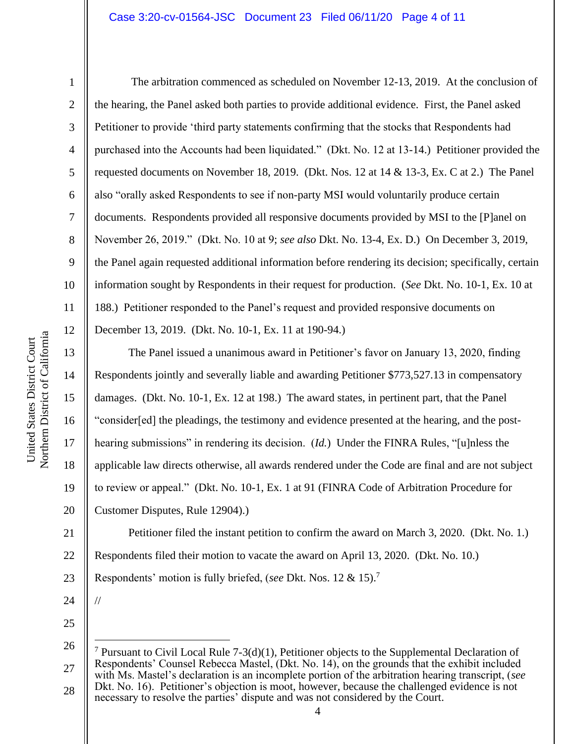## Case 3:20-cv-01564-JSC Document 23 Filed 06/11/20 Page 4 of 11

The arbitration commenced as scheduled on November 12-13, 2019. At the conclusion of the hearing, the Panel asked both parties to provide additional evidence. First, the Panel asked Petitioner to provide 'third party statements confirming that the stocks that Respondents had purchased into the Accounts had been liquidated." (Dkt. No. 12 at 13-14.) Petitioner provided the requested documents on November 18, 2019. (Dkt. Nos. 12 at 14 & 13-3, Ex. C at 2.) The Panel also "orally asked Respondents to see if non-party MSI would voluntarily produce certain documents. Respondents provided all responsive documents provided by MSI to the [P]anel on November 26, 2019." (Dkt. No. 10 at 9; *see also* Dkt. No. 13-4, Ex. D.) On December 3, 2019, the Panel again requested additional information before rendering its decision; specifically, certain information sought by Respondents in their request for production. (*See* Dkt. No. 10-1, Ex. 10 at 188.) Petitioner responded to the Panel's request and provided responsive documents on December 13, 2019. (Dkt. No. 10-1, Ex. 11 at 190-94.)

15 16 The Panel issued a unanimous award in Petitioner's favor on January 13, 2020, finding Respondents jointly and severally liable and awarding Petitioner \$773,527.13 in compensatory damages. (Dkt. No. 10-1, Ex. 12 at 198.) The award states, in pertinent part, that the Panel "consider[ed] the pleadings, the testimony and evidence presented at the hearing, and the posthearing submissions" in rendering its decision. (*Id.*) Under the FINRA Rules, "[u]nless the applicable law directs otherwise, all awards rendered under the Code are final and are not subject to review or appeal." (Dkt. No. 10-1, Ex. 1 at 91 (FINRA Code of Arbitration Procedure for Customer Disputes, Rule 12904).)

20 21 22

1

2

3

4

5

6

7

8

9

10

11

12

13

14

17

18

19

Petitioner filed the instant petition to confirm the award on March 3, 2020. (Dkt. No. 1.) Respondents filed their motion to vacate the award on April 13, 2020. (Dkt. No. 10.)

23 Respondents' motion is fully briefed, (*see* Dkt. Nos. 12 & 15). 7

24

//

<sup>26</sup> 27 28 <sup>7</sup> Pursuant to Civil Local Rule 7-3(d)(1), Petitioner objects to the Supplemental Declaration of Respondents' Counsel Rebecca Mastel, (Dkt. No. 14), on the grounds that the exhibit included with Ms. Mastel's declaration is an incomplete portion of the arbitration hearing transcript, (*see* Dkt. No. 16). Petitioner's objection is moot, however, because the challenged evidence is not necessary to resolve the parties' dispute and was not considered by the Court.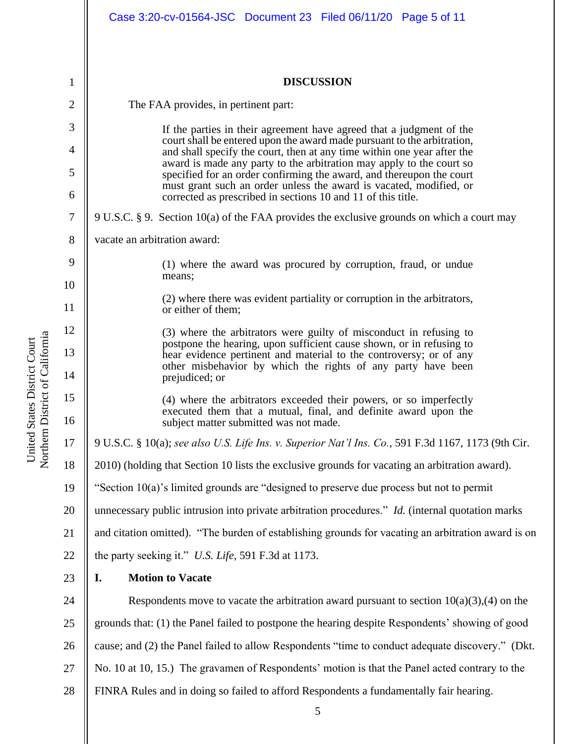|          | Case 3:20-cv-01564-JSC Document 23 Filed 06/11/20 Page 5 of 11                                                                                                                                                               |
|----------|------------------------------------------------------------------------------------------------------------------------------------------------------------------------------------------------------------------------------|
| 1        | <b>DISCUSSION</b>                                                                                                                                                                                                            |
| 2        | The FAA provides, in pertinent part:                                                                                                                                                                                         |
| 3        |                                                                                                                                                                                                                              |
| 4        | If the parties in their agreement have agreed that a judgment of the<br>court shall be entered upon the award made pursuant to the arbitration,<br>and shall specify the court, then at any time within one year after the   |
| 5        | award is made any party to the arbitration may apply to the court so<br>specified for an order confirming the award, and thereupon the court                                                                                 |
| 6        | must grant such an order unless the award is vacated, modified, or<br>corrected as prescribed in sections 10 and 11 of this title.                                                                                           |
| 7        | 9 U.S.C. § 9. Section 10(a) of the FAA provides the exclusive grounds on which a court may                                                                                                                                   |
| 8        | vacate an arbitration award:                                                                                                                                                                                                 |
| 9        | (1) where the award was procured by corruption, fraud, or undue                                                                                                                                                              |
| 10       | means;                                                                                                                                                                                                                       |
| 11       | (2) where there was evident partiality or corruption in the arbitrators,<br>or either of them;                                                                                                                               |
| 12       | (3) where the arbitrators were guilty of misconduct in refusing to                                                                                                                                                           |
| 13<br>14 | postpone the hearing, upon sufficient cause shown, or in refusing to<br>hear evidence pertinent and material to the controversy; or of any<br>other misbehavior by which the rights of any party have been<br>prejudiced; or |
| 15       | (4) where the arbitrators exceeded their powers, or so imperfectly                                                                                                                                                           |
| 16       | executed them that a mutual, final, and definite award upon the<br>subject matter submitted was not made.                                                                                                                    |
| 17       | 9 U.S.C. § 10(a); see also U.S. Life Ins. v. Superior Nat'l Ins. Co., 591 F.3d 1167, 1173 (9th Cir.                                                                                                                          |
| 18       | 2010) (holding that Section 10 lists the exclusive grounds for vacating an arbitration award).                                                                                                                               |
| 19       | "Section $10(a)$ 's limited grounds are "designed to preserve due process but not to permit                                                                                                                                  |
| 20       | unnecessary public intrusion into private arbitration procedures." <i>Id.</i> (internal quotation marks                                                                                                                      |
| 21       | and citation omitted). "The burden of establishing grounds for vacating an arbitration award is on                                                                                                                           |
| 22       | the party seeking it." U.S. Life, 591 F.3d at 1173.                                                                                                                                                                          |
| 23       | <b>Motion to Vacate</b><br>I.                                                                                                                                                                                                |
| 24       | Respondents move to vacate the arbitration award pursuant to section $10(a)(3),(4)$ on the                                                                                                                                   |
| 25       | grounds that: (1) the Panel failed to postpone the hearing despite Respondents' showing of good                                                                                                                              |
| 26       | cause; and (2) the Panel failed to allow Respondents "time to conduct adequate discovery." (Dkt.                                                                                                                             |
| 27       | No. 10 at 10, 15.) The gravamen of Respondents' motion is that the Panel acted contrary to the                                                                                                                               |
| 28       | FINRA Rules and in doing so failed to afford Respondents a fundamentally fair hearing.                                                                                                                                       |

United States District Court<br>Northern District of California Northern District of California United States District Court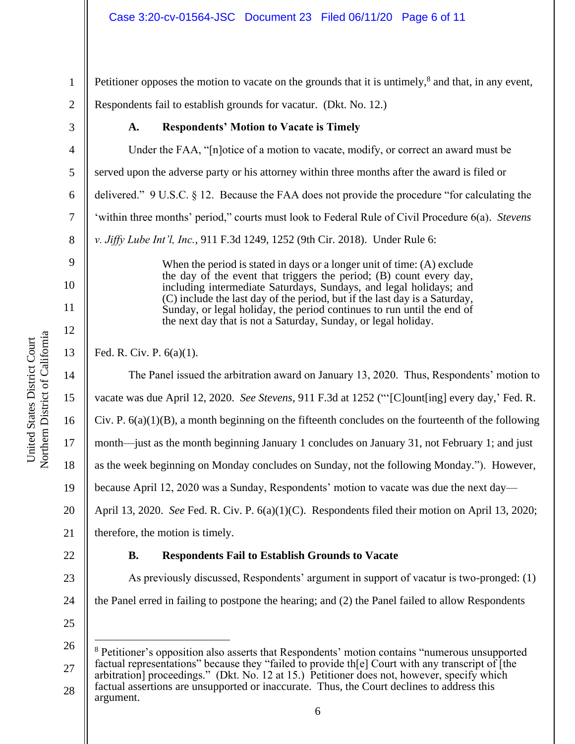Petitioner opposes the motion to vacate on the grounds that it is untimely, $\delta$  and that, in any event,

2 Respondents fail to establish grounds for vacatur. (Dkt. No. 12.)

3

4

5

6

7

8

9

10

11

12

13

1

# **A. Respondents' Motion to Vacate is Timely**

Under the FAA, "[n]otice of a motion to vacate, modify, or correct an award must be served upon the adverse party or his attorney within three months after the award is filed or delivered." 9 U.S.C. § 12. Because the FAA does not provide the procedure "for calculating the 'within three months' period," courts must look to Federal Rule of Civil Procedure 6(a). *Stevens v. Jiffy Lube Int'l, Inc.*, 911 F.3d 1249, 1252 (9th Cir. 2018). Under Rule 6:

> When the period is stated in days or a longer unit of time: (A) exclude the day of the event that triggers the period; (B) count every day, including intermediate Saturdays, Sundays, and legal holidays; and (C) include the last day of the period, but if the last day is a Saturday, Sunday, or legal holiday, the period continues to run until the end of the next day that is not a Saturday, Sunday, or legal holiday.

Fed. R. Civ. P. 6(a)(1).

14 15 16 17 18 19 20 21 22 23 24 The Panel issued the arbitration award on January 13, 2020. Thus, Respondents' motion to vacate was due April 12, 2020. *See Stevens*, 911 F.3d at 1252 ("'[C]ount[ing] every day,' Fed. R. Civ. P.  $6(a)(1)(B)$ , a month beginning on the fifteenth concludes on the fourteenth of the following month—just as the month beginning January 1 concludes on January 31, not February 1; and just as the week beginning on Monday concludes on Sunday, not the following Monday."). However, because April 12, 2020 was a Sunday, Respondents' motion to vacate was due the next day— April 13, 2020. *See* Fed. R. Civ. P. 6(a)(1)(C). Respondents filed their motion on April 13, 2020; therefore, the motion is timely. **B. Respondents Fail to Establish Grounds to Vacate** As previously discussed, Respondents' argument in support of vacatur is two-pronged: (1) the Panel erred in failing to postpone the hearing; and (2) the Panel failed to allow Respondents

<sup>26</sup> 27 28 <sup>8</sup> Petitioner's opposition also asserts that Respondents' motion contains "numerous unsupported factual representations" because they "failed to provide th[e] Court with any transcript of [the arbitration] proceedings." (Dkt. No. 12 at 15.) Petitioner does not, however, specify which factual assertions are unsupported or inaccurate. Thus, the Court declines to address this argument.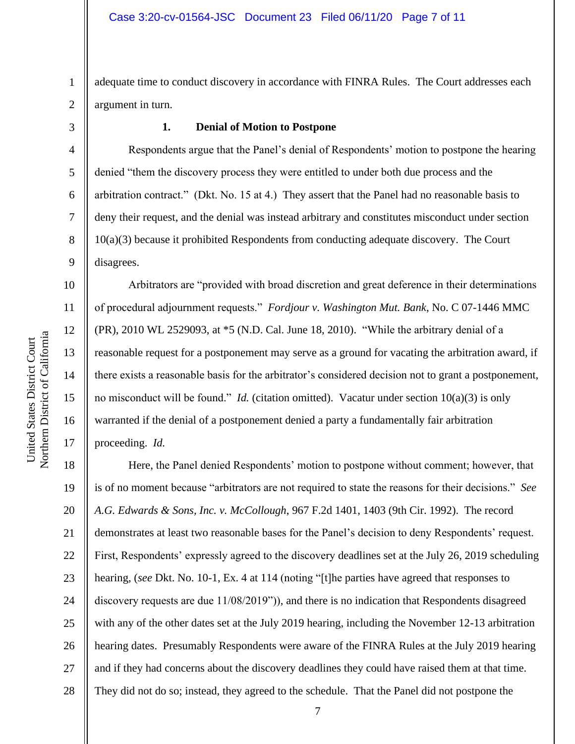1 2 adequate time to conduct discovery in accordance with FINRA Rules. The Court addresses each argument in turn.

3

4

5

6

7

8

9

10

11

12

13

14

15

16

17

## **1. Denial of Motion to Postpone**

Respondents argue that the Panel's denial of Respondents' motion to postpone the hearing denied "them the discovery process they were entitled to under both due process and the arbitration contract." (Dkt. No. 15 at 4.) They assert that the Panel had no reasonable basis to deny their request, and the denial was instead arbitrary and constitutes misconduct under section 10(a)(3) because it prohibited Respondents from conducting adequate discovery. The Court disagrees.

Arbitrators are "provided with broad discretion and great deference in their determinations of procedural adjournment requests." *Fordjour v. Washington Mut. Bank*, No. C 07-1446 MMC (PR), 2010 WL 2529093, at \*5 (N.D. Cal. June 18, 2010). "While the arbitrary denial of a reasonable request for a postponement may serve as a ground for vacating the arbitration award, if there exists a reasonable basis for the arbitrator's considered decision not to grant a postponement, no misconduct will be found." *Id.* (citation omitted). Vacatur under section 10(a)(3) is only warranted if the denial of a postponement denied a party a fundamentally fair arbitration proceeding. *Id.* 

18 19 20 21 22 23 24 25 26 27 28 Here, the Panel denied Respondents' motion to postpone without comment; however, that is of no moment because "arbitrators are not required to state the reasons for their decisions." *See A.G. Edwards & Sons, Inc. v. McCollough*, 967 F.2d 1401, 1403 (9th Cir. 1992). The record demonstrates at least two reasonable bases for the Panel's decision to deny Respondents' request. First, Respondents' expressly agreed to the discovery deadlines set at the July 26, 2019 scheduling hearing, (*see* Dkt. No. 10-1, Ex. 4 at 114 (noting "[t]he parties have agreed that responses to discovery requests are due 11/08/2019")), and there is no indication that Respondents disagreed with any of the other dates set at the July 2019 hearing, including the November 12-13 arbitration hearing dates. Presumably Respondents were aware of the FINRA Rules at the July 2019 hearing and if they had concerns about the discovery deadlines they could have raised them at that time. They did not do so; instead, they agreed to the schedule. That the Panel did not postpone the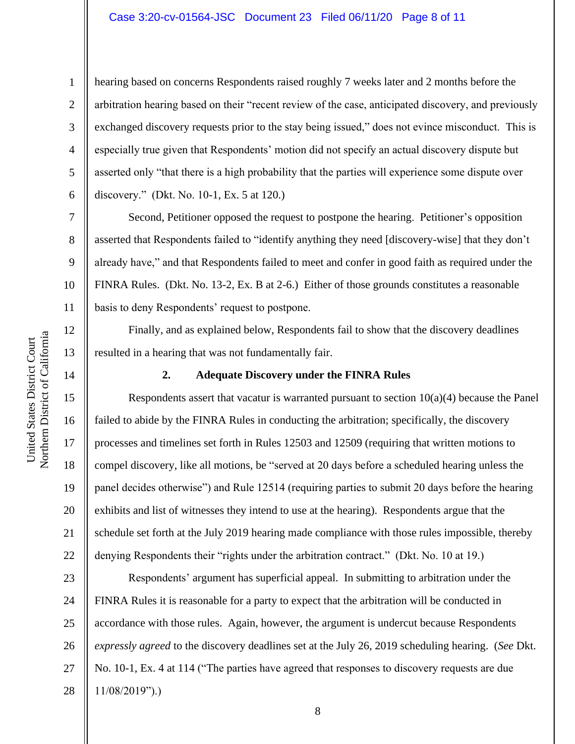## Case 3:20-cv-01564-JSC Document 23 Filed 06/11/20 Page 8 of 11

hearing based on concerns Respondents raised roughly 7 weeks later and 2 months before the arbitration hearing based on their "recent review of the case, anticipated discovery, and previously exchanged discovery requests prior to the stay being issued," does not evince misconduct. This is especially true given that Respondents' motion did not specify an actual discovery dispute but asserted only "that there is a high probability that the parties will experience some dispute over discovery." (Dkt. No. 10-1, Ex. 5 at 120.)

Second, Petitioner opposed the request to postpone the hearing. Petitioner's opposition asserted that Respondents failed to "identify anything they need [discovery-wise] that they don't already have," and that Respondents failed to meet and confer in good faith as required under the FINRA Rules. (Dkt. No. 13-2, Ex. B at 2-6.) Either of those grounds constitutes a reasonable basis to deny Respondents' request to postpone.

Finally, and as explained below, Respondents fail to show that the discovery deadlines resulted in a hearing that was not fundamentally fair.

## **2. Adequate Discovery under the FINRA Rules**

Respondents assert that vacatur is warranted pursuant to section  $10(a)(4)$  because the Panel failed to abide by the FINRA Rules in conducting the arbitration; specifically, the discovery processes and timelines set forth in Rules 12503 and 12509 (requiring that written motions to compel discovery, like all motions, be "served at 20 days before a scheduled hearing unless the panel decides otherwise") and Rule 12514 (requiring parties to submit 20 days before the hearing exhibits and list of witnesses they intend to use at the hearing). Respondents argue that the schedule set forth at the July 2019 hearing made compliance with those rules impossible, thereby denying Respondents their "rights under the arbitration contract." (Dkt. No. 10 at 19.)

23 24 25 26 27 28 Respondents' argument has superficial appeal. In submitting to arbitration under the FINRA Rules it is reasonable for a party to expect that the arbitration will be conducted in accordance with those rules. Again, however, the argument is undercut because Respondents *expressly agreed* to the discovery deadlines set at the July 26, 2019 scheduling hearing. (*See* Dkt. No. 10-1, Ex. 4 at 114 ("The parties have agreed that responses to discovery requests are due 11/08/2019").)

1

2

3

4

5

6

7

8

9

10

11

12

13

14

15

16

17

18

19

20

21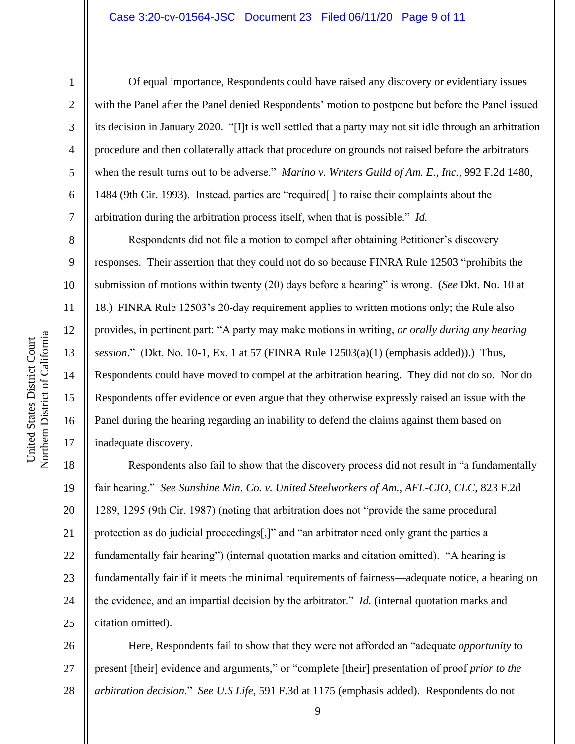## Case 3:20-cv-01564-JSC Document 23 Filed 06/11/20 Page 9 of 11

1

2

3

4

5

6

7

8

9

10

11

12

13

14

15

16

17

Of equal importance, Respondents could have raised any discovery or evidentiary issues with the Panel after the Panel denied Respondents' motion to postpone but before the Panel issued its decision in January 2020. "[I]t is well settled that a party may not sit idle through an arbitration procedure and then collaterally attack that procedure on grounds not raised before the arbitrators when the result turns out to be adverse." *Marino v. Writers Guild of Am. E., Inc.*, 992 F.2d 1480, 1484 (9th Cir. 1993). Instead, parties are "required[ ] to raise their complaints about the arbitration during the arbitration process itself, when that is possible." *Id.*

Respondents did not file a motion to compel after obtaining Petitioner's discovery responses. Their assertion that they could not do so because FINRA Rule 12503 "prohibits the submission of motions within twenty (20) days before a hearing" is wrong. (*See* Dkt. No. 10 at 18.) FINRA Rule 12503's 20-day requirement applies to written motions only; the Rule also provides, in pertinent part: "A party may make motions in writing, *or orally during any hearing session*." (Dkt. No. 10-1, Ex. 1 at 57 (FINRA Rule 12503(a)(1) (emphasis added)).) Thus, Respondents could have moved to compel at the arbitration hearing. They did not do so. Nor do Respondents offer evidence or even argue that they otherwise expressly raised an issue with the Panel during the hearing regarding an inability to defend the claims against them based on inadequate discovery.

18 19 20 21 22 23 24 25 Respondents also fail to show that the discovery process did not result in "a fundamentally fair hearing." *See Sunshine Min. Co. v. United Steelworkers of Am., AFL-CIO, CLC*, 823 F.2d 1289, 1295 (9th Cir. 1987) (noting that arbitration does not "provide the same procedural protection as do judicial proceedings[,]" and "an arbitrator need only grant the parties a fundamentally fair hearing") (internal quotation marks and citation omitted). "A hearing is fundamentally fair if it meets the minimal requirements of fairness—adequate notice, a hearing on the evidence, and an impartial decision by the arbitrator." *Id.* (internal quotation marks and citation omitted).

26 27 28 Here, Respondents fail to show that they were not afforded an "adequate *opportunity* to present [their] evidence and arguments," or "complete [their] presentation of proof *prior to the arbitration decision*." *See U.S Life*, 591 F.3d at 1175 (emphasis added). Respondents do not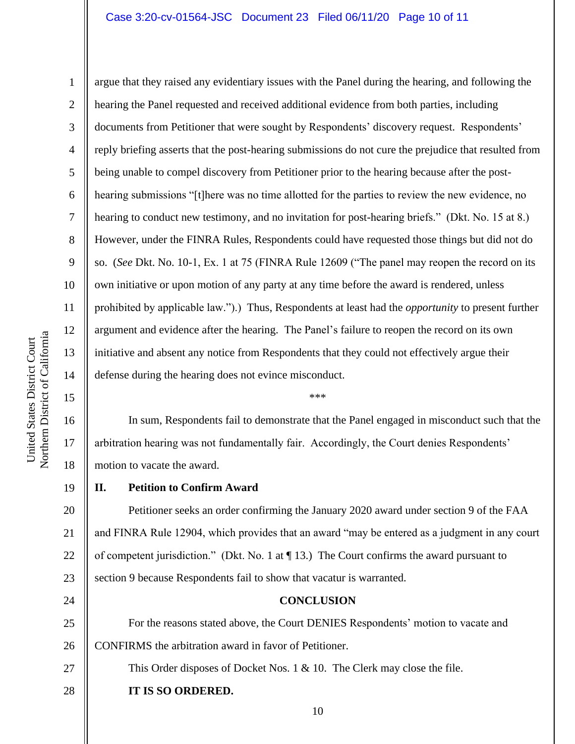## Case 3:20-cv-01564-JSC Document 23 Filed 06/11/20 Page 10 of 11

10 11 12 Northern District of California Northern District of California 13 14 15 16 17

United States District Court

United States District Court

1

2

3

4

5

8

9

6 7 argue that they raised any evidentiary issues with the Panel during the hearing, and following the hearing the Panel requested and received additional evidence from both parties, including documents from Petitioner that were sought by Respondents' discovery request. Respondents' reply briefing asserts that the post-hearing submissions do not cure the prejudice that resulted from being unable to compel discovery from Petitioner prior to the hearing because after the posthearing submissions "[t]here was no time allotted for the parties to review the new evidence, no hearing to conduct new testimony, and no invitation for post-hearing briefs." (Dkt. No. 15 at 8.) However, under the FINRA Rules, Respondents could have requested those things but did not do so. (*See* Dkt. No. 10-1, Ex. 1 at 75 (FINRA Rule 12609 ("The panel may reopen the record on its own initiative or upon motion of any party at any time before the award is rendered, unless prohibited by applicable law.").) Thus, Respondents at least had the *opportunity* to present further argument and evidence after the hearing. The Panel's failure to reopen the record on its own initiative and absent any notice from Respondents that they could not effectively argue their defense during the hearing does not evince misconduct.

18 In sum, Respondents fail to demonstrate that the Panel engaged in misconduct such that the arbitration hearing was not fundamentally fair. Accordingly, the Court denies Respondents' motion to vacate the award.

\*\*\*

**II. Petition to Confirm Award**

20 21 22 23 Petitioner seeks an order confirming the January 2020 award under section 9 of the FAA and FINRA Rule 12904, which provides that an award "may be entered as a judgment in any court of competent jurisdiction." (Dkt. No. 1 at ¶ 13.) The Court confirms the award pursuant to section 9 because Respondents fail to show that vacatur is warranted.

24

27

28

19

**CONCLUSION**

25 26 For the reasons stated above, the Court DENIES Respondents' motion to vacate and CONFIRMS the arbitration award in favor of Petitioner.

This Order disposes of Docket Nos. 1 & 10. The Clerk may close the file.

**IT IS SO ORDERED.**